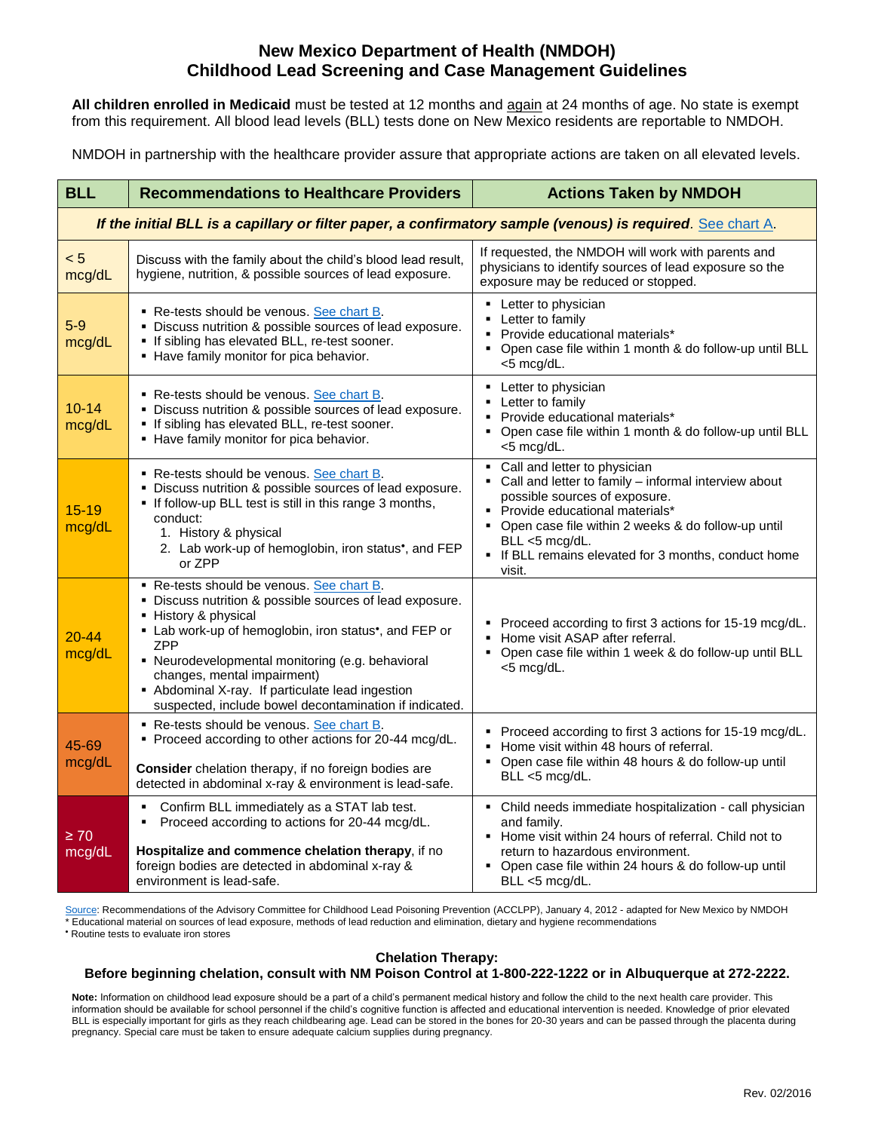# **New Mexico Department of Health (NMDOH) Childhood Lead Screening and Case Management Guidelines**

**All children enrolled in Medicaid** must be tested at 12 months and again at 24 months of age. No state is exempt from this requirement. All blood lead levels (BLL) tests done on New Mexico residents are reportable to NMDOH.

NMDOH in partnership with the healthcare provider assure that appropriate actions are taken on all elevated levels.

| <b>BLL</b>                                                                                                  | <b>Recommendations to Healthcare Providers</b>                                                                                                                                                                                                                                                                                                                                                                   | <b>Actions Taken by NMDOH</b>                                                                                                                                                                                                                                                                           |  |  |  |  |  |  |  |
|-------------------------------------------------------------------------------------------------------------|------------------------------------------------------------------------------------------------------------------------------------------------------------------------------------------------------------------------------------------------------------------------------------------------------------------------------------------------------------------------------------------------------------------|---------------------------------------------------------------------------------------------------------------------------------------------------------------------------------------------------------------------------------------------------------------------------------------------------------|--|--|--|--|--|--|--|
| If the initial BLL is a capillary or filter paper, a confirmatory sample (venous) is required. See chart A. |                                                                                                                                                                                                                                                                                                                                                                                                                  |                                                                                                                                                                                                                                                                                                         |  |  |  |  |  |  |  |
| < 5<br>mcg/dL                                                                                               | Discuss with the family about the child's blood lead result,<br>hygiene, nutrition, & possible sources of lead exposure.                                                                                                                                                                                                                                                                                         | If requested, the NMDOH will work with parents and<br>physicians to identify sources of lead exposure so the<br>exposure may be reduced or stopped.                                                                                                                                                     |  |  |  |  |  |  |  |
| $5-9$<br>mcg/dL                                                                                             | Re-tests should be venous. See chart B.<br>• Discuss nutrition & possible sources of lead exposure.<br>If sibling has elevated BLL, re-test sooner.<br>- Have family monitor for pica behavior.                                                                                                                                                                                                                  | • Letter to physician<br>Letter to family<br>• Provide educational materials*<br>• Open case file within 1 month & do follow-up until BLL<br><5 mcg/dL.                                                                                                                                                 |  |  |  |  |  |  |  |
| $10 - 14$<br>mcg/dL                                                                                         | • Re-tests should be venous. See chart B.<br>• Discuss nutrition & possible sources of lead exposure.<br>. If sibling has elevated BLL, re-test sooner.<br>- Have family monitor for pica behavior.                                                                                                                                                                                                              | • Letter to physician<br>• Letter to family<br>• Provide educational materials*<br>• Open case file within 1 month & do follow-up until BLL<br><5 mcg/dL.                                                                                                                                               |  |  |  |  |  |  |  |
| $15 - 19$<br>mcg/dL                                                                                         | Re-tests should be venous. See chart B.<br>• Discuss nutrition & possible sources of lead exposure.<br>" If follow-up BLL test is still in this range 3 months,<br>conduct:<br>1. History & physical<br>2. Lab work-up of hemoglobin, iron status <sup>*</sup> , and FEP<br>or ZPP                                                                                                                               | • Call and letter to physician<br>Call and letter to family - informal interview about<br>possible sources of exposure.<br>• Provide educational materials*<br>• Open case file within 2 weeks & do follow-up until<br>BLL <5 mcg/dL.<br>• If BLL remains elevated for 3 months, conduct home<br>visit. |  |  |  |  |  |  |  |
| $20 - 44$<br>mcg/dL                                                                                         | Re-tests should be venous. See chart B.<br>• Discuss nutrition & possible sources of lead exposure.<br>- History & physical<br>• Lab work-up of hemoglobin, iron status <sup>*</sup> , and FEP or<br><b>ZPP</b><br>• Neurodevelopmental monitoring (e.g. behavioral<br>changes, mental impairment)<br>• Abdominal X-ray. If particulate lead ingestion<br>suspected, include bowel decontamination if indicated. | • Proceed according to first 3 actions for 15-19 mcg/dL.<br>Home visit ASAP after referral.<br>Open case file within 1 week & do follow-up until BLL<br>٠<br><5 mcg/dL.                                                                                                                                 |  |  |  |  |  |  |  |
| 45-69<br>mcg/dL                                                                                             | Re-tests should be venous. See chart B.<br>• Proceed according to other actions for 20-44 mcg/dL.<br>Consider chelation therapy, if no foreign bodies are<br>detected in abdominal x-ray & environment is lead-safe.                                                                                                                                                                                             | • Proceed according to first 3 actions for 15-19 mcg/dL.<br>Home visit within 48 hours of referral.<br>Open case file within 48 hours & do follow-up until<br>BLL <5 mcg/dL.                                                                                                                            |  |  |  |  |  |  |  |
| $\geq 70$<br>mcg/dL                                                                                         | Confirm BLL immediately as a STAT lab test.<br>٠<br>Proceed according to actions for 20-44 mcg/dL.<br>٠<br>Hospitalize and commence chelation therapy, if no<br>foreign bodies are detected in abdominal x-ray &<br>environment is lead-safe.                                                                                                                                                                    | • Child needs immediate hospitalization - call physician<br>and family.<br>• Home visit within 24 hours of referral. Child not to<br>return to hazardous environment.<br>Open case file within 24 hours & do follow-up until<br>BLL <5 mcg/dL.                                                          |  |  |  |  |  |  |  |

[Source:](http://www.cdc.gov/nceh/lead/acclpp/blood_lead_levels.htm) Recommendations of the Advisory Committee for Childhood Lead Poisoning Prevention (ACCLPP), January 4, 2012 - adapted for New Mexico by NMDOH \* Educational material on sources of lead exposure, methods of lead reduction and elimination, dietary and hygiene recommendations

Routine tests to evaluate iron stores

## **Chelation Therapy:**

## **Before beginning chelation, consult with NM Poison Control at 1-800-222-1222 or in Albuquerque at 272-2222.**

**Note:** Information on childhood lead exposure should be a part of a child's permanent medical history and follow the child to the next health care provider. This information should be available for school personnel if the child's cognitive function is affected and educational intervention is needed. Knowledge of prior elevated BLL is especially important for girls as they reach childbearing age. Lead can be stored in the bones for 20-30 years and can be passed through the placenta during pregnancy. Special care must be taken to ensure adequate calcium supplies during pregnancy.